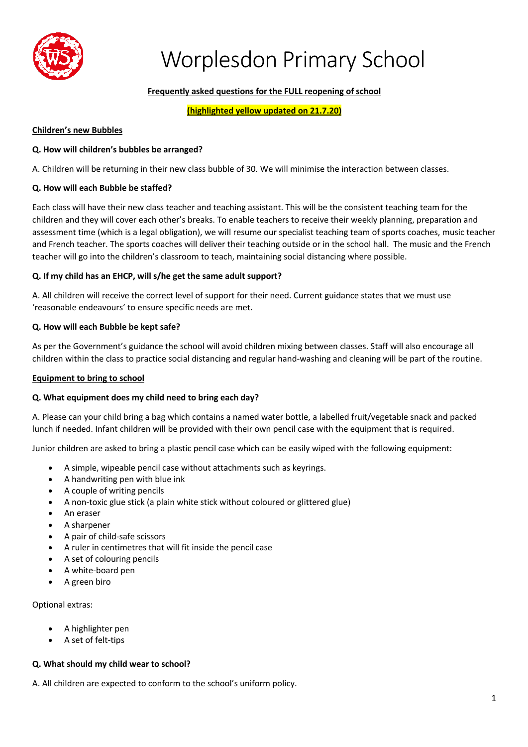

# **Frequently asked questions for the FULL reopening of school**

**(highlighted yellow updated on 21.7.20)**

#### **Children's new Bubbles**

#### **Q. How will children's bubbles be arranged?**

A. Children will be returning in their new class bubble of 30. We will minimise the interaction between classes.

#### **Q. How will each Bubble be staffed?**

Each class will have their new class teacher and teaching assistant. This will be the consistent teaching team for the children and they will cover each other's breaks. To enable teachers to receive their weekly planning, preparation and assessment time (which is a legal obligation), we will resume our specialist teaching team of sports coaches, music teacher and French teacher. The sports coaches will deliver their teaching outside or in the school hall. The music and the French teacher will go into the children's classroom to teach, maintaining social distancing where possible.

#### **Q. If my child has an EHCP, will s/he get the same adult support?**

A. All children will receive the correct level of support for their need. Current guidance states that we must use 'reasonable endeavours' to ensure specific needs are met.

#### **Q. How will each Bubble be kept safe?**

As per the Government's guidance the school will avoid children mixing between classes. Staff will also encourage all children within the class to practice social distancing and regular hand-washing and cleaning will be part of the routine.

#### **Equipment to bring to school**

#### **Q. What equipment does my child need to bring each day?**

A. Please can your child bring a bag which contains a named water bottle, a labelled fruit/vegetable snack and packed lunch if needed. Infant children will be provided with their own pencil case with the equipment that is required.

Junior children are asked to bring a plastic pencil case which can be easily wiped with the following equipment:

- A simple, wipeable pencil case without attachments such as keyrings.
- A handwriting pen with blue ink
- A couple of writing pencils
- A non-toxic glue stick (a plain white stick without coloured or glittered glue)
- An eraser
- A sharpener
- A pair of child-safe scissors
- A ruler in centimetres that will fit inside the pencil case
- A set of colouring pencils
- A white-board pen
- A green biro

#### Optional extras:

- A highlighter pen
- A set of felt-tips

#### **Q. What should my child wear to school?**

A. All children are expected to conform to the school's uniform policy.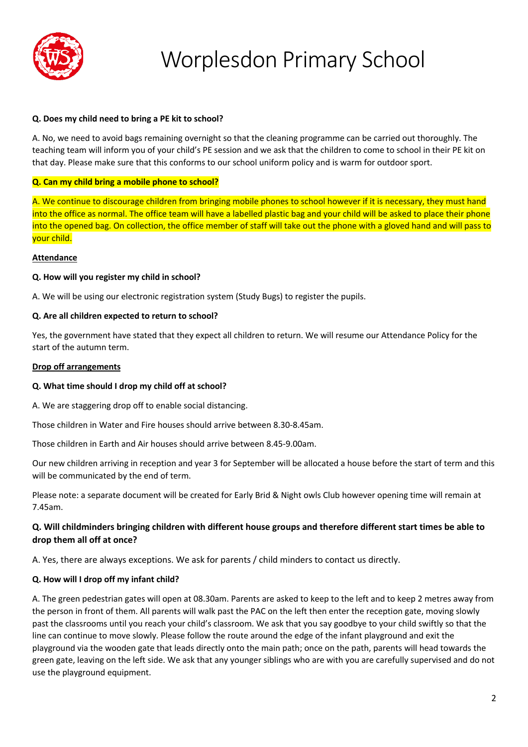

## **Q. Does my child need to bring a PE kit to school?**

A. No, we need to avoid bags remaining overnight so that the cleaning programme can be carried out thoroughly. The teaching team will inform you of your child's PE session and we ask that the children to come to school in their PE kit on that day. Please make sure that this conforms to our school uniform policy and is warm for outdoor sport.

## **Q. Can my child bring a mobile phone to school?**

A. We continue to discourage children from bringing mobile phones to school however if it is necessary, they must hand into the office as normal. The office team will have a labelled plastic bag and your child will be asked to place their phone into the opened bag. On collection, the office member of staff will take out the phone with a gloved hand and will pass to your child.

#### **Attendance**

## **Q. How will you register my child in school?**

A. We will be using our electronic registration system (Study Bugs) to register the pupils.

## **Q. Are all children expected to return to school?**

Yes, the government have stated that they expect all children to return. We will resume our Attendance Policy for the start of the autumn term.

#### **Drop off arrangements**

#### **Q. What time should I drop my child off at school?**

A. We are staggering drop off to enable social distancing.

Those children in Water and Fire houses should arrive between 8.30-8.45am.

Those children in Earth and Air houses should arrive between 8.45-9.00am.

Our new children arriving in reception and year 3 for September will be allocated a house before the start of term and this will be communicated by the end of term.

Please note: a separate document will be created for Early Brid & Night owls Club however opening time will remain at 7.45am.

# **Q. Will childminders bringing children with different house groups and therefore different start times be able to drop them all off at once?**

A. Yes, there are always exceptions. We ask for parents / child minders to contact us directly.

# **Q. How will I drop off my infant child?**

A. The green pedestrian gates will open at 08.30am. Parents are asked to keep to the left and to keep 2 metres away from the person in front of them. All parents will walk past the PAC on the left then enter the reception gate, moving slowly past the classrooms until you reach your child's classroom. We ask that you say goodbye to your child swiftly so that the line can continue to move slowly. Please follow the route around the edge of the infant playground and exit the playground via the wooden gate that leads directly onto the main path; once on the path, parents will head towards the green gate, leaving on the left side. We ask that any younger siblings who are with you are carefully supervised and do not use the playground equipment.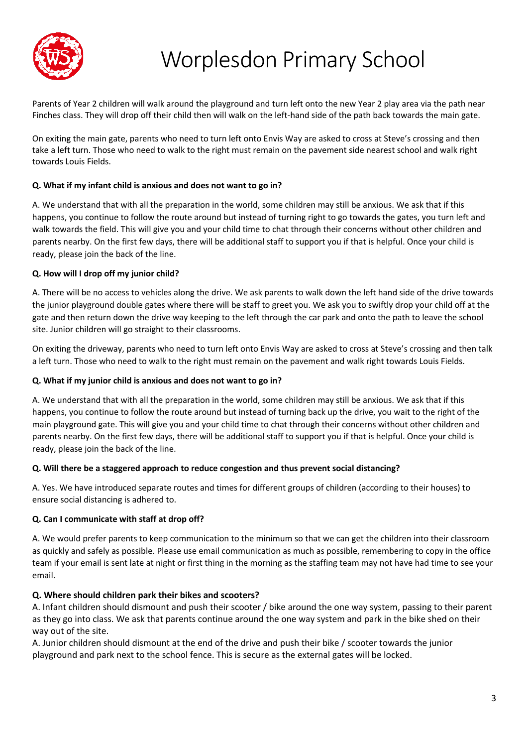

Parents of Year 2 children will walk around the playground and turn left onto the new Year 2 play area via the path near Finches class. They will drop off their child then will walk on the left-hand side of the path back towards the main gate.

On exiting the main gate, parents who need to turn left onto Envis Way are asked to cross at Steve's crossing and then take a left turn. Those who need to walk to the right must remain on the pavement side nearest school and walk right towards Louis Fields.

## **Q. What if my infant child is anxious and does not want to go in?**

A. We understand that with all the preparation in the world, some children may still be anxious. We ask that if this happens, you continue to follow the route around but instead of turning right to go towards the gates, you turn left and walk towards the field. This will give you and your child time to chat through their concerns without other children and parents nearby. On the first few days, there will be additional staff to support you if that is helpful. Once your child is ready, please join the back of the line.

## **Q. How will I drop off my junior child?**

A. There will be no access to vehicles along the drive. We ask parents to walk down the left hand side of the drive towards the junior playground double gates where there will be staff to greet you. We ask you to swiftly drop your child off at the gate and then return down the drive way keeping to the left through the car park and onto the path to leave the school site. Junior children will go straight to their classrooms.

On exiting the driveway, parents who need to turn left onto Envis Way are asked to cross at Steve's crossing and then talk a left turn. Those who need to walk to the right must remain on the pavement and walk right towards Louis Fields.

#### **Q. What if my junior child is anxious and does not want to go in?**

A. We understand that with all the preparation in the world, some children may still be anxious. We ask that if this happens, you continue to follow the route around but instead of turning back up the drive, you wait to the right of the main playground gate. This will give you and your child time to chat through their concerns without other children and parents nearby. On the first few days, there will be additional staff to support you if that is helpful. Once your child is ready, please join the back of the line.

#### **Q. Will there be a staggered approach to reduce congestion and thus prevent social distancing?**

A. Yes. We have introduced separate routes and times for different groups of children (according to their houses) to ensure social distancing is adhered to.

#### **Q. Can I communicate with staff at drop off?**

A. We would prefer parents to keep communication to the minimum so that we can get the children into their classroom as quickly and safely as possible. Please use email communication as much as possible, remembering to copy in the office team if your email is sent late at night or first thing in the morning as the staffing team may not have had time to see your email.

#### **Q. Where should children park their bikes and scooters?**

A. Infant children should dismount and push their scooter / bike around the one way system, passing to their parent as they go into class. We ask that parents continue around the one way system and park in the bike shed on their way out of the site.

A. Junior children should dismount at the end of the drive and push their bike / scooter towards the junior playground and park next to the school fence. This is secure as the external gates will be locked.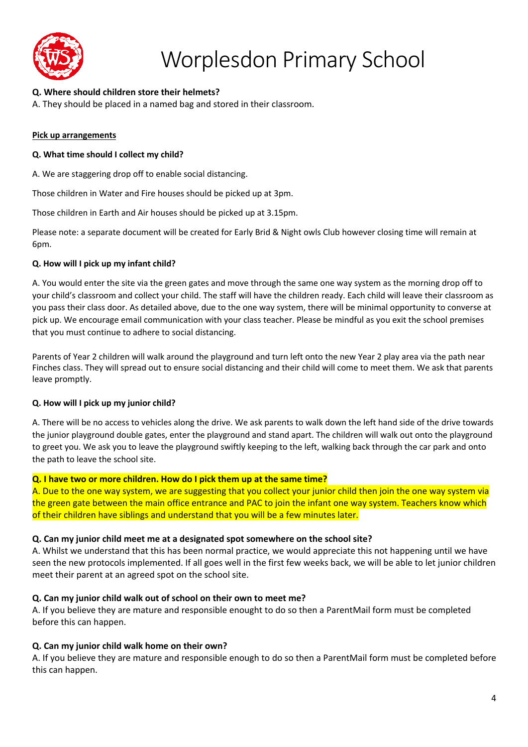

# **Q. Where should children store their helmets?**

A. They should be placed in a named bag and stored in their classroom.

### **Pick up arrangements**

### **Q. What time should I collect my child?**

A. We are staggering drop off to enable social distancing.

Those children in Water and Fire houses should be picked up at 3pm.

Those children in Earth and Air houses should be picked up at 3.15pm.

Please note: a separate document will be created for Early Brid & Night owls Club however closing time will remain at 6pm.

## **Q. How will I pick up my infant child?**

A. You would enter the site via the green gates and move through the same one way system as the morning drop off to your child's classroom and collect your child. The staff will have the children ready. Each child will leave their classroom as you pass their class door. As detailed above, due to the one way system, there will be minimal opportunity to converse at pick up. We encourage email communication with your class teacher. Please be mindful as you exit the school premises that you must continue to adhere to social distancing.

Parents of Year 2 children will walk around the playground and turn left onto the new Year 2 play area via the path near Finches class. They will spread out to ensure social distancing and their child will come to meet them. We ask that parents leave promptly.

# **Q. How will I pick up my junior child?**

A. There will be no access to vehicles along the drive. We ask parents to walk down the left hand side of the drive towards the junior playground double gates, enter the playground and stand apart. The children will walk out onto the playground to greet you. We ask you to leave the playground swiftly keeping to the left, walking back through the car park and onto the path to leave the school site.

#### **Q. I have two or more children. How do I pick them up at the same time?**

A. Due to the one way system, we are suggesting that you collect your junior child then join the one way system via the green gate between the main office entrance and PAC to join the infant one way system. Teachers know which of their children have siblings and understand that you will be a few minutes later.

#### **Q. Can my junior child meet me at a designated spot somewhere on the school site?**

A. Whilst we understand that this has been normal practice, we would appreciate this not happening until we have seen the new protocols implemented. If all goes well in the first few weeks back, we will be able to let junior children meet their parent at an agreed spot on the school site.

# **Q. Can my junior child walk out of school on their own to meet me?**

A. If you believe they are mature and responsible enought to do so then a ParentMail form must be completed before this can happen.

# **Q. Can my junior child walk home on their own?**

A. If you believe they are mature and responsible enough to do so then a ParentMail form must be completed before this can happen.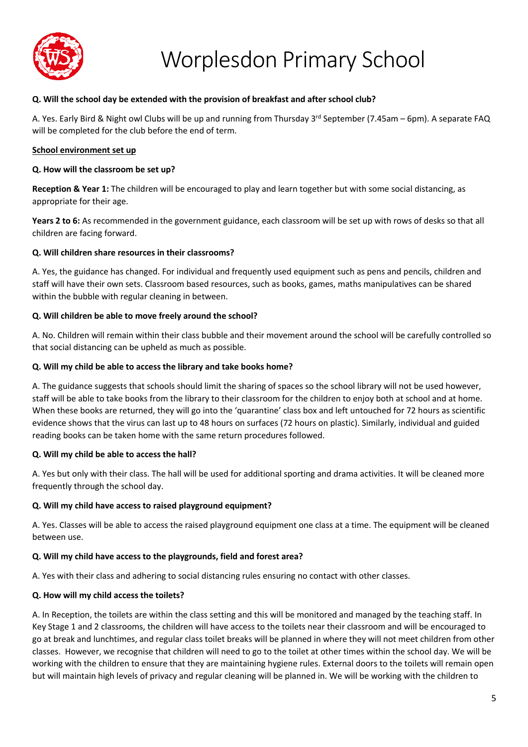

#### **Q. Will the school day be extended with the provision of breakfast and after school club?**

A. Yes. Early Bird & Night owl Clubs will be up and running from Thursday 3<sup>rd</sup> September (7.45am – 6pm). A separate FAQ will be completed for the club before the end of term.

#### **School environment set up**

#### **Q. How will the classroom be set up?**

**Reception & Year 1:** The children will be encouraged to play and learn together but with some social distancing, as appropriate for their age.

**Years 2 to 6:** As recommended in the government guidance, each classroom will be set up with rows of desks so that all children are facing forward.

#### **Q. Will children share resources in their classrooms?**

A. Yes, the guidance has changed. For individual and frequently used equipment such as pens and pencils, children and staff will have their own sets. Classroom based resources, such as books, games, maths manipulatives can be shared within the bubble with regular cleaning in between.

#### **Q. Will children be able to move freely around the school?**

A. No. Children will remain within their class bubble and their movement around the school will be carefully controlled so that social distancing can be upheld as much as possible.

#### **Q. Will my child be able to access the library and take books home?**

A. The guidance suggests that schools should limit the sharing of spaces so the school library will not be used however, staff will be able to take books from the library to their classroom for the children to enjoy both at school and at home. When these books are returned, they will go into the 'quarantine' class box and left untouched for 72 hours as scientific evidence shows that the virus can last up to 48 hours on surfaces (72 hours on plastic). Similarly, individual and guided reading books can be taken home with the same return procedures followed.

#### **Q. Will my child be able to access the hall?**

A. Yes but only with their class. The hall will be used for additional sporting and drama activities. It will be cleaned more frequently through the school day.

#### **Q. Will my child have access to raised playground equipment?**

A. Yes. Classes will be able to access the raised playground equipment one class at a time. The equipment will be cleaned between use.

#### **Q. Will my child have access to the playgrounds, field and forest area?**

A. Yes with their class and adhering to social distancing rules ensuring no contact with other classes.

#### **Q. How will my child access the toilets?**

A. In Reception, the toilets are within the class setting and this will be monitored and managed by the teaching staff. In Key Stage 1 and 2 classrooms, the children will have access to the toilets near their classroom and will be encouraged to go at break and lunchtimes, and regular class toilet breaks will be planned in where they will not meet children from other classes. However, we recognise that children will need to go to the toilet at other times within the school day. We will be working with the children to ensure that they are maintaining hygiene rules. External doors to the toilets will remain open but will maintain high levels of privacy and regular cleaning will be planned in. We will be working with the children to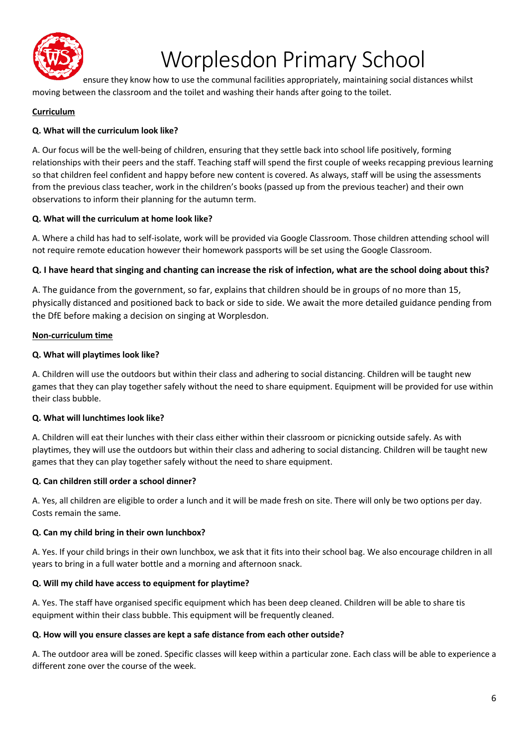

ensure they know how to use the communal facilities appropriately, maintaining social distances whilst moving between the classroom and the toilet and washing their hands after going to the toilet.

# **Curriculum**

# **Q. What will the curriculum look like?**

A. Our focus will be the well-being of children, ensuring that they settle back into school life positively, forming relationships with their peers and the staff. Teaching staff will spend the first couple of weeks recapping previous learning so that children feel confident and happy before new content is covered. As always, staff will be using the assessments from the previous class teacher, work in the children's books (passed up from the previous teacher) and their own observations to inform their planning for the autumn term.

# **Q. What will the curriculum at home look like?**

A. Where a child has had to self-isolate, work will be provided via Google Classroom. Those children attending school will not require remote education however their homework passports will be set using the Google Classroom.

# **Q. I have heard that singing and chanting can increase the risk of infection, what are the school doing about this?**

A. The guidance from the government, so far, explains that children should be in groups of no more than 15, physically distanced and positioned back to back or side to side. We await the more detailed guidance pending from the DfE before making a decision on singing at Worplesdon.

## **Non-curriculum time**

## **Q. What will playtimes look like?**

A. Children will use the outdoors but within their class and adhering to social distancing. Children will be taught new games that they can play together safely without the need to share equipment. Equipment will be provided for use within their class bubble.

# **Q. What will lunchtimes look like?**

A. Children will eat their lunches with their class either within their classroom or picnicking outside safely. As with playtimes, they will use the outdoors but within their class and adhering to social distancing. Children will be taught new games that they can play together safely without the need to share equipment.

# **Q. Can children still order a school dinner?**

A. Yes, all children are eligible to order a lunch and it will be made fresh on site. There will only be two options per day. Costs remain the same.

#### **Q. Can my child bring in their own lunchbox?**

A. Yes. If your child brings in their own lunchbox, we ask that it fits into their school bag. We also encourage children in all years to bring in a full water bottle and a morning and afternoon snack.

# **Q. Will my child have access to equipment for playtime?**

A. Yes. The staff have organised specific equipment which has been deep cleaned. Children will be able to share tis equipment within their class bubble. This equipment will be frequently cleaned.

#### **Q. How will you ensure classes are kept a safe distance from each other outside?**

A. The outdoor area will be zoned. Specific classes will keep within a particular zone. Each class will be able to experience a different zone over the course of the week.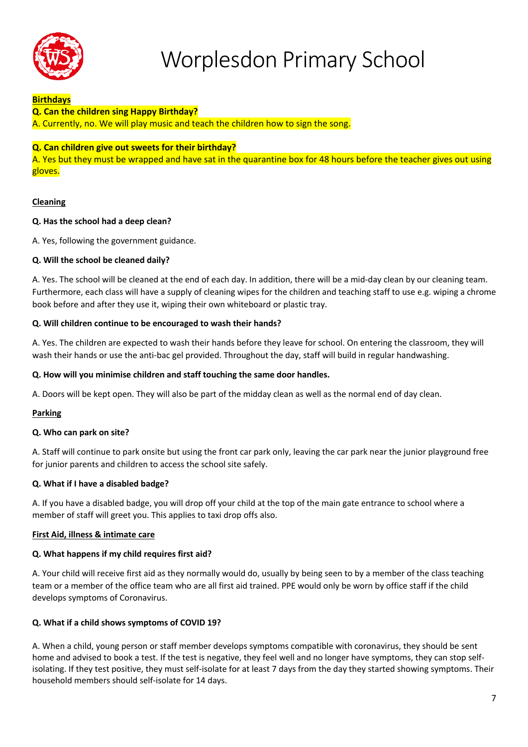

## **Birthdays**

#### **Q. Can the children sing Happy Birthday?**

A. Currently, no. We will play music and teach the children how to sign the song.

## **Q. Can children give out sweets for their birthday?**

A. Yes but they must be wrapped and have sat in the quarantine box for 48 hours before the teacher gives out using gloves.

## **Cleaning**

## **Q. Has the school had a deep clean?**

A. Yes, following the government guidance.

## **Q. Will the school be cleaned daily?**

A. Yes. The school will be cleaned at the end of each day. In addition, there will be a mid-day clean by our cleaning team. Furthermore, each class will have a supply of cleaning wipes for the children and teaching staff to use e.g. wiping a chrome book before and after they use it, wiping their own whiteboard or plastic tray.

## **Q. Will children continue to be encouraged to wash their hands?**

A. Yes. The children are expected to wash their hands before they leave for school. On entering the classroom, they will wash their hands or use the anti-bac gel provided. Throughout the day, staff will build in regular handwashing.

### **Q. How will you minimise children and staff touching the same door handles.**

A. Doors will be kept open. They will also be part of the midday clean as well as the normal end of day clean.

#### **Parking**

#### **Q. Who can park on site?**

A. Staff will continue to park onsite but using the front car park only, leaving the car park near the junior playground free for junior parents and children to access the school site safely.

# **Q. What if I have a disabled badge?**

A. If you have a disabled badge, you will drop off your child at the top of the main gate entrance to school where a member of staff will greet you. This applies to taxi drop offs also.

#### **First Aid, illness & intimate care**

#### **Q. What happens if my child requires first aid?**

A. Your child will receive first aid as they normally would do, usually by being seen to by a member of the class teaching team or a member of the office team who are all first aid trained. PPE would only be worn by office staff if the child develops symptoms of Coronavirus.

# **Q. What if a child shows symptoms of COVID 19?**

A. When a child, young person or staff member develops symptoms compatible with coronavirus, they should be sent home and advised to book a test. If the test is negative, they feel well and no longer have symptoms, they can stop selfisolating. If they test positive, they must self-isolate for at least 7 days from the day they started showing symptoms. Their household members should self-isolate for 14 days.